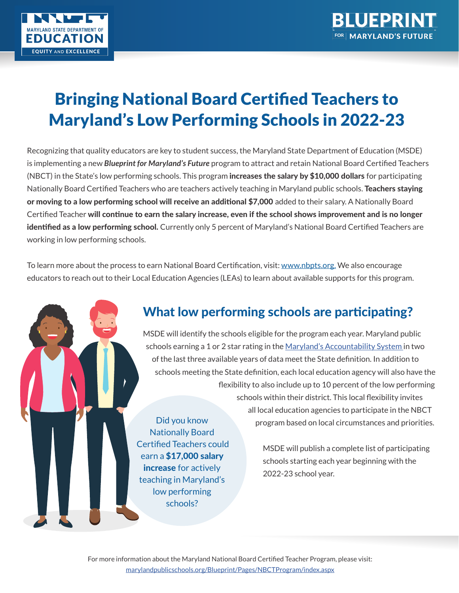

# Bringing National Board Certified Teachers to Maryland's Low Performing Schools in 2022-23

Recognizing that quality educators are key to student success, the Maryland State Department of Education (MSDE) is implementing a new *Blueprint for Maryland's Future* program to attract and retain National Board Certified Teachers (NBCT) in the State's low performing schools. This program **increases the salary by \$10,000 dollars** for participating Nationally Board Certified Teachers who are teachers actively teaching in Maryland public schools. Teachers staying or moving to a low performing school will receive an additional \$7,000 added to their salary. A Nationally Board Certified Teacher will continue to earn the salary increase, even if the school shows improvement and is no longer identified as a low performing school. Currently only 5 percent of Maryland's National Board Certified Teachers are working in low performing schools.

To learn more about the process to earn National Board Certification, visit: www.nbpts.org. We also encourage educators to reach out to their Local Education Agencies (LEAs) to learn about available supports for this program.

### What low performing schools are participating?

MSDE will identify the schools eligible for the program each year. Maryland public schools earning a 1 or 2 star rating in the Maryland's Accountability System in two of the last three available years of data meet the State definition. In addition to schools meeting the State definition, each local education agency will also have the flexibility to also include up to 10 percent of the low performing schools within their district. This local flexibility invites all local education agencies to participate in the NBCT program based on local circumstances and priorities. Did you know Nationally Board

> MSDE will publish a complete list of participating schools starting each year beginning with the 2022-23 school year.

For more information about the Maryland National Board Certified Teacher Program, please visit: marylandpublicschools.org/Blueprint/Pages/NBCTProgram/index.aspx

 Certified Teachers could earn a \$17,000 salary increase for actively teaching in Maryland's low performing schools?